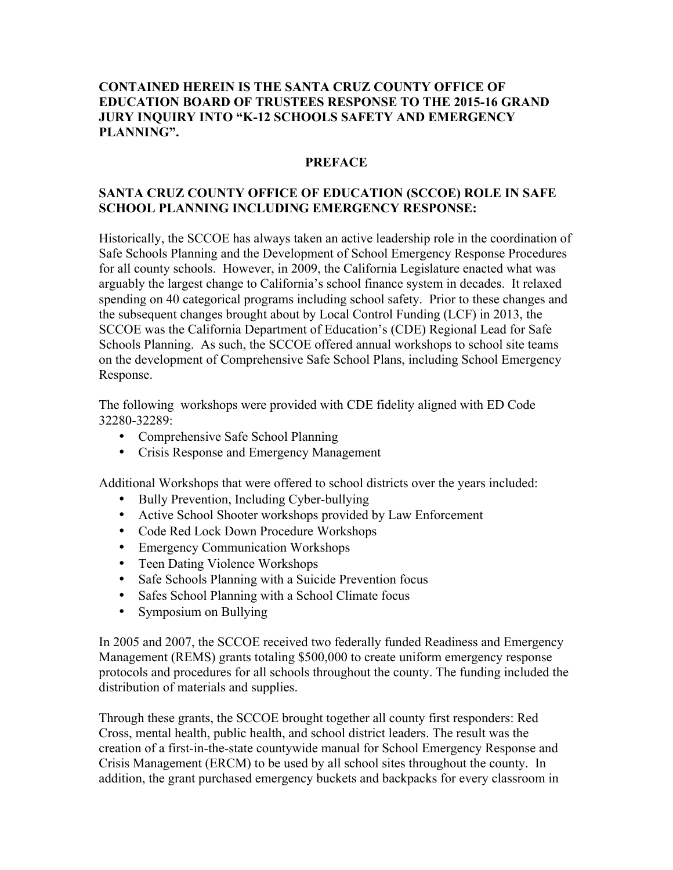## **CONTAINED HEREIN IS THE SANTA CRUZ COUNTY OFFICE OF EDUCATION BOARD OF TRUSTEES RESPONSE TO THE 2015-16 GRAND JURY INQUIRY INTO "K-12 SCHOOLS SAFETY AND EMERGENCY PLANNING".**

### **PREFACE**

# **SANTA CRUZ COUNTY OFFICE OF EDUCATION (SCCOE) ROLE IN SAFE SCHOOL PLANNING INCLUDING EMERGENCY RESPONSE:**

Historically, the SCCOE has always taken an active leadership role in the coordination of Safe Schools Planning and the Development of School Emergency Response Procedures for all county schools. However, in 2009, the California Legislature enacted what was arguably the largest change to California's school finance system in decades. It relaxed spending on 40 categorical programs including school safety. Prior to these changes and the subsequent changes brought about by Local Control Funding (LCF) in 2013, the SCCOE was the California Department of Education's (CDE) Regional Lead for Safe Schools Planning. As such, the SCCOE offered annual workshops to school site teams on the development of Comprehensive Safe School Plans, including School Emergency Response.

The following workshops were provided with CDE fidelity aligned with ED Code 32280-32289:

- Comprehensive Safe School Planning
- Crisis Response and Emergency Management

Additional Workshops that were offered to school districts over the years included:

- Bully Prevention, Including Cyber-bullying
- Active School Shooter workshops provided by Law Enforcement
- Code Red Lock Down Procedure Workshops
- Emergency Communication Workshops
- Teen Dating Violence Workshops
- Safe Schools Planning with a Suicide Prevention focus
- Safes School Planning with a School Climate focus
- Symposium on Bullying

In 2005 and 2007, the SCCOE received two federally funded Readiness and Emergency Management (REMS) grants totaling \$500,000 to create uniform emergency response protocols and procedures for all schools throughout the county. The funding included the distribution of materials and supplies.

Through these grants, the SCCOE brought together all county first responders: Red Cross, mental health, public health, and school district leaders. The result was the creation of a first-in-the-state countywide manual for School Emergency Response and Crisis Management (ERCM) to be used by all school sites throughout the county. In addition, the grant purchased emergency buckets and backpacks for every classroom in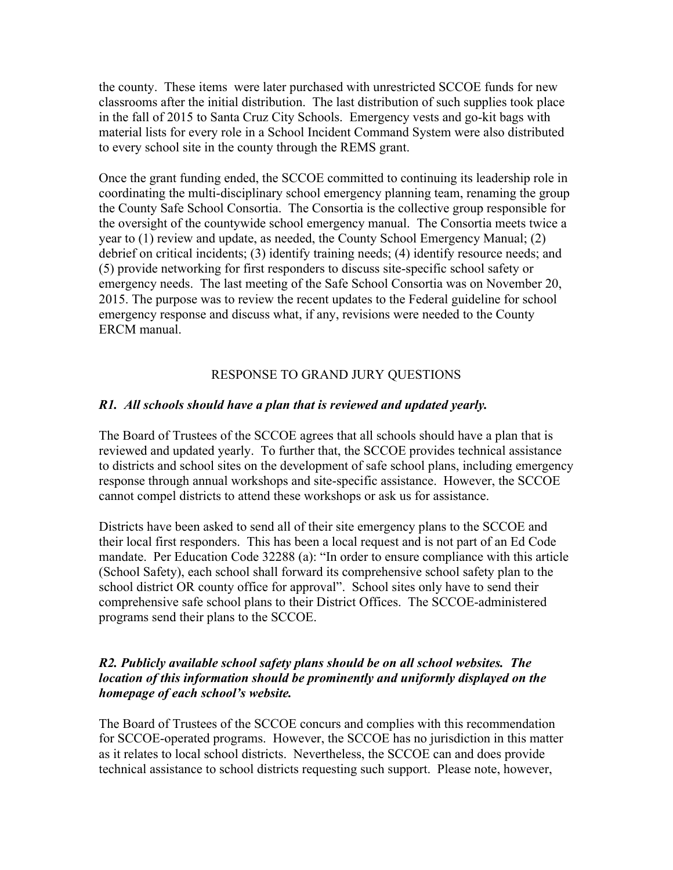the county. These items were later purchased with unrestricted SCCOE funds for new classrooms after the initial distribution. The last distribution of such supplies took place in the fall of 2015 to Santa Cruz City Schools. Emergency vests and go-kit bags with material lists for every role in a School Incident Command System were also distributed to every school site in the county through the REMS grant.

Once the grant funding ended, the SCCOE committed to continuing its leadership role in coordinating the multi-disciplinary school emergency planning team, renaming the group the County Safe School Consortia. The Consortia is the collective group responsible for the oversight of the countywide school emergency manual. The Consortia meets twice a year to (1) review and update, as needed, the County School Emergency Manual; (2) debrief on critical incidents; (3) identify training needs; (4) identify resource needs; and (5) provide networking for first responders to discuss site-specific school safety or emergency needs. The last meeting of the Safe School Consortia was on November 20, 2015. The purpose was to review the recent updates to the Federal guideline for school emergency response and discuss what, if any, revisions were needed to the County ERCM manual.

### RESPONSE TO GRAND JURY QUESTIONS

#### *R1. All schools should have a plan that is reviewed and updated yearly.*

The Board of Trustees of the SCCOE agrees that all schools should have a plan that is reviewed and updated yearly. To further that, the SCCOE provides technical assistance to districts and school sites on the development of safe school plans, including emergency response through annual workshops and site-specific assistance. However, the SCCOE cannot compel districts to attend these workshops or ask us for assistance.

Districts have been asked to send all of their site emergency plans to the SCCOE and their local first responders. This has been a local request and is not part of an Ed Code mandate. Per Education Code 32288 (a): "In order to ensure compliance with this article (School Safety), each school shall forward its comprehensive school safety plan to the school district OR county office for approval". School sites only have to send their comprehensive safe school plans to their District Offices. The SCCOE-administered programs send their plans to the SCCOE.

### *R2. Publicly available school safety plans should be on all school websites. The location of this information should be prominently and uniformly displayed on the homepage of each school's website.*

The Board of Trustees of the SCCOE concurs and complies with this recommendation for SCCOE-operated programs. However, the SCCOE has no jurisdiction in this matter as it relates to local school districts. Nevertheless, the SCCOE can and does provide technical assistance to school districts requesting such support. Please note, however,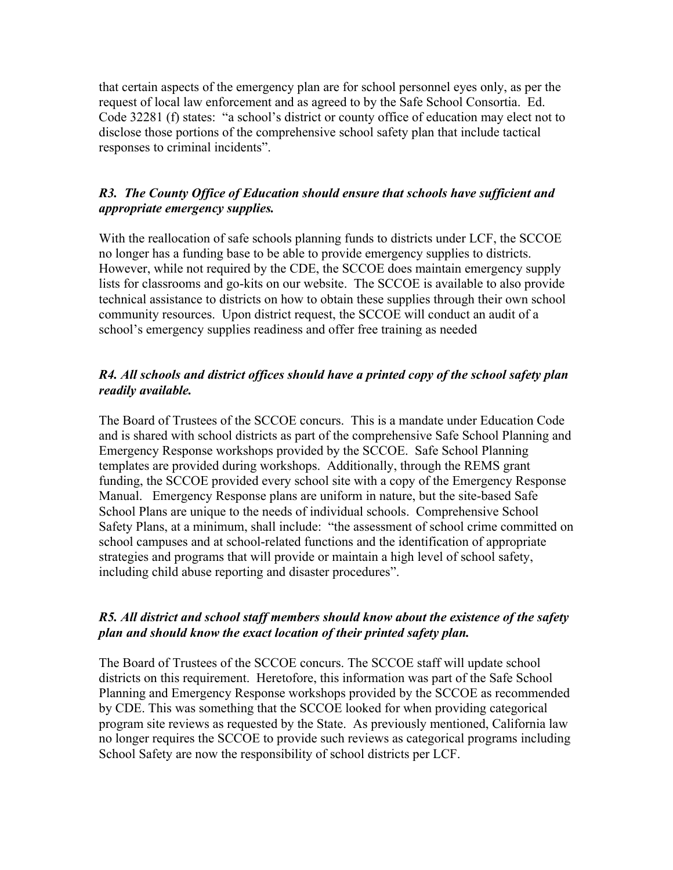that certain aspects of the emergency plan are for school personnel eyes only, as per the request of local law enforcement and as agreed to by the Safe School Consortia. Ed. Code 32281 (f) states: "a school's district or county office of education may elect not to disclose those portions of the comprehensive school safety plan that include tactical responses to criminal incidents".

# *R3. The County Office of Education should ensure that schools have sufficient and appropriate emergency supplies.*

With the reallocation of safe schools planning funds to districts under LCF, the SCCOE no longer has a funding base to be able to provide emergency supplies to districts. However, while not required by the CDE, the SCCOE does maintain emergency supply lists for classrooms and go-kits on our website. The SCCOE is available to also provide technical assistance to districts on how to obtain these supplies through their own school community resources. Upon district request, the SCCOE will conduct an audit of a school's emergency supplies readiness and offer free training as needed

# *R4. All schools and district offices should have a printed copy of the school safety plan readily available.*

The Board of Trustees of the SCCOE concurs. This is a mandate under Education Code and is shared with school districts as part of the comprehensive Safe School Planning and Emergency Response workshops provided by the SCCOE. Safe School Planning templates are provided during workshops. Additionally, through the REMS grant funding, the SCCOE provided every school site with a copy of the Emergency Response Manual. Emergency Response plans are uniform in nature, but the site-based Safe School Plans are unique to the needs of individual schools. Comprehensive School Safety Plans, at a minimum, shall include: "the assessment of school crime committed on school campuses and at school-related functions and the identification of appropriate strategies and programs that will provide or maintain a high level of school safety, including child abuse reporting and disaster procedures".

# *R5. All district and school staff members should know about the existence of the safety plan and should know the exact location of their printed safety plan.*

The Board of Trustees of the SCCOE concurs. The SCCOE staff will update school districts on this requirement. Heretofore, this information was part of the Safe School Planning and Emergency Response workshops provided by the SCCOE as recommended by CDE. This was something that the SCCOE looked for when providing categorical program site reviews as requested by the State. As previously mentioned, California law no longer requires the SCCOE to provide such reviews as categorical programs including School Safety are now the responsibility of school districts per LCF.